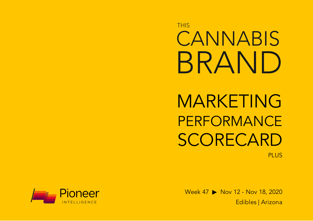**THIS** CANNABIS BRAND

MARKETING PERFORMANCE SCORECARD PLUS

Week 47 ▶ Nov 12 - Nov 18, 2020 Edibles | Arizona

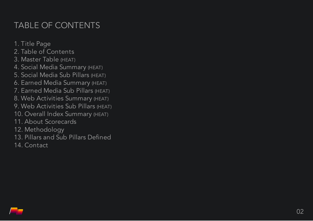# TABLE OF CONTENTS

1. Title P a g e

- 2. Table of Contents
- 3. Master Table (HEAT)
- 4. Social Media Summary (HEAT)
- 5. Social Media Sub Pillars (неат)
- 6. Earned Media Summary (HEAT)
- 7. Earned Media Sub Pillars (HEAT)
- 8. Web Activities Summary (HEAT)
- 9. Web Activities Sub Pillars (HEAT)
- 10. Overall Index Summary (HEAT)
- 11. About Scorecards
- 12. Methodology
- 13. Pillars and Sub Pillars Defined
- 14. Contact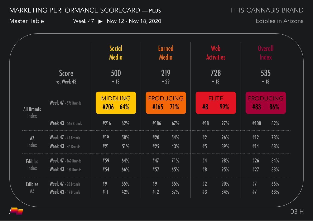THIS CANNABIS BRAND

Master Table Week 47 ▶ Nov 12 - Nov 18, 2020

|                                   |                                                            |            | Social<br>Media               | <b>Earned</b><br><b>Media</b>  |            |          | <b>Web</b><br><b>Activities</b> |            | <b>Overall</b><br><b>Index</b> |
|-----------------------------------|------------------------------------------------------------|------------|-------------------------------|--------------------------------|------------|----------|---------------------------------|------------|--------------------------------|
|                                   | <b>Score</b><br>vs. Week 43                                |            | 500<br>$+13$                  | 219<br>$+29$                   |            |          | 728<br>$+18$                    |            | 535<br>$+18$                   |
| <b>All Brands</b><br>Index        | <b>Week 47</b> - 576 Brands                                |            | <b>MIDDLING</b><br>$#206$ 64% | <b>PRODUCING</b><br>$#165$ 71% |            | #8       | <b>ELITE</b><br>99%             | #83        | <b>PRODUCING</b><br>86%        |
|                                   | Week 43 - 566 Brands                                       | #216       | 62%                           | #186                           | 67%        | #18      | 97%                             | #100       | 82%                            |
| $A\overline{Z}$<br>Index          | Week 47 - 45 Brands<br>Week 43 - 44 Brands                 | #19<br>#21 | 58%<br>51%                    | #20<br>#25                     | 54%<br>43% | #2<br>#5 | 96%<br>89%                      | #12<br>#14 | 73%<br>68%                     |
| <b>Edibles</b><br>Index           | <b>Week 47</b> - 162 Brands<br><b>Week 43</b> - 161 Brands | #59<br>#54 | 64%<br>66%                    | #47<br>#57                     | 71%<br>65% | #4<br>#8 | 98%<br>95%                      | #26<br>#27 | 84%<br>83%                     |
| <b>Edibles</b><br>$A\overline{Z}$ | Week 47 - 20 Brands<br>Week 43 - 19 Brands                 | #9<br>#11  | 55%<br>42%                    | #9<br>#12                      | 55%<br>37% | #2<br>#3 | 90%<br>84%                      | #7<br>#7   | 65%<br>63%                     |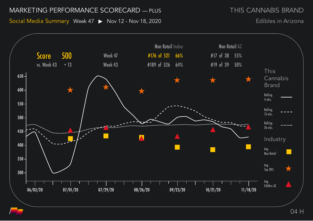THIS CANNABIS BRAND

Social Media Summary Week 47 > Nov 12 - Nov 18, 2020

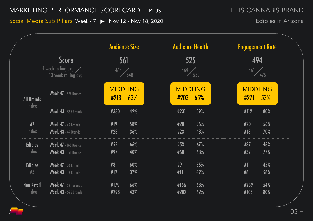Social Media Sub Pillars Week 47 > Nov 12 - Nov 18, 2020

THIS CANNABIS BRAND

|                   | <b>Score</b>                                         | <b>Audience Size</b><br>561 |     |      | <b>Audience Health</b><br>525 |      | <b>Engagement Rate</b><br>494 |  |  |
|-------------------|------------------------------------------------------|-----------------------------|-----|------|-------------------------------|------|-------------------------------|--|--|
|                   | 4 week rolling avg. $\angle$<br>13 week rolling avg. | $\frac{464}{548}$           |     | 469  | $\frac{1}{559}$               |      | 461 475                       |  |  |
| <b>All Brands</b> | <b>Week 47</b> - 576 Brands                          | <b>MIDDLING</b><br>#213     | 63% | #203 | <b>MIDDLING</b><br>65%        | #271 | <b>MIDDLING</b><br>53%        |  |  |
| Index             | <b>Week 43 - 566 Brands</b>                          | #330                        | 42% | #231 | 59%                           | #112 | 80%                           |  |  |
| AZ                | Week 47 - 45 Brands                                  | #19                         | 58% | #20  | 56%                           | #20  | 56%                           |  |  |
| Index             | Week 43 - 44 Brands                                  | #28                         | 36% | #23  | 48%                           | #13  | 70%                           |  |  |
| <b>Edibles</b>    | <b>Week 47</b> - 162 Brands                          | #55                         | 66% | #53  | 67%                           | #87  | 46%                           |  |  |
| Index             | <b>Week 43</b> - 161 Brands                          | #97                         | 40% | #60  | 63%                           | #37  | 77%                           |  |  |
| <b>Edibles</b>    | Week 47 - 20 Brands                                  | #8                          | 60% | #9   | 55%                           | #11  | 45%                           |  |  |
| $A\overline{Z}$   | Week 43 - 19 Brands                                  | #12                         | 37% | #11  | 42%                           | #8   | 58%                           |  |  |
| <b>Non Retail</b> | <b>Week 47</b> - 521 Brands                          | #179                        | 66% | #166 | 68%                           | #239 | 54%                           |  |  |
| <b>Index</b>      | <b>Week 43 - 526 Brands</b>                          | #298                        | 43% | #202 | 62%                           | #105 | 80%                           |  |  |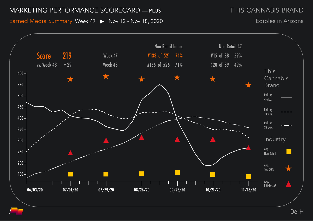Earned Media Summary Week 47 > Nov 12 - Nov 18, 2020

Edibles in Arizona

THIS CANNABIS BRAND

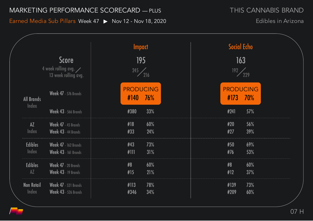Earned Media Sub Pillars Week 47 ▶ Nov 12 - Nov 18, 2020

|                                   |                                                                      | <b>Impact</b>            |            | <b>Social Echo</b>       |                          |            |  |  |
|-----------------------------------|----------------------------------------------------------------------|--------------------------|------------|--------------------------|--------------------------|------------|--|--|
|                                   | <b>Score</b><br>4 week rolling avg. $\angle$<br>13 week rolling avg. | 195<br>$\frac{245}{216}$ |            | 163<br>$\frac{192}{229}$ |                          |            |  |  |
| <b>All Brands</b>                 | <b>Week 47</b> - 576 Brands                                          | <b>PRODUCING</b><br>#140 | <b>76%</b> |                          | <b>PRODUCING</b><br>#173 | 70%        |  |  |
| Index                             | <b>Week 43 - 566 Brands</b>                                          | #380                     | 33%        |                          | #241                     | 57%        |  |  |
| $\overline{AZ}$<br>Index          | Week 47 - 45 Brands<br>Week 43 - 44 Brands                           | #18<br>#33               | 60%<br>24% |                          | #20<br>#27               | 56%<br>39% |  |  |
| <b>Edibles</b><br>Index           | <b>Week 47</b> - 162 Brands<br><b>Week 43 - 161 Brands</b>           | #43<br>#111              | 73%<br>31% |                          | #50<br>#76               | 69%<br>53% |  |  |
| <b>Edibles</b><br>$A\overline{Z}$ | Week 47 - 20 Brands<br><b>Week 43</b> - 19 Brands                    | #8<br>#15                | 60%<br>21% |                          | #8<br>#12                | 60%<br>37% |  |  |
| <b>Non Retail</b><br>Index        | <b>Week 47</b> - 521 Brands<br><b>Week 43</b> - 526 Brands           | #113<br>#346             | 78%<br>34% |                          | #139<br>#209             | 73%<br>60% |  |  |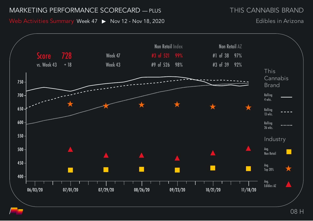THIS CANNABIS BRAND

Web Activities Summary Week 47 ▶ Nov 12 - Nov 18, 2020

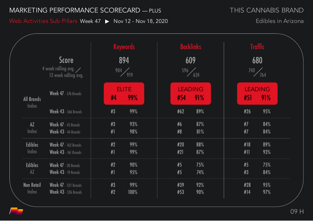Web Activities Sub Pillars Week 47 > Nov 12 - Nov 18, 2020

THIS CANNABIS BRAND

|                                                                      |                                                            | <b>Keywords</b> |                  |                     |  | <b>Backlinks</b><br>609<br>596 624 |            |                       | <b>Traffic</b><br>680<br>$\frac{740}{764}$ |  |            |                       |  |
|----------------------------------------------------------------------|------------------------------------------------------------|-----------------|------------------|---------------------|--|------------------------------------|------------|-----------------------|--------------------------------------------|--|------------|-----------------------|--|
| <b>Score</b><br>4 week rolling avg. $\angle$<br>13 week rolling avg. |                                                            |                 | 894<br>904 / 919 |                     |  |                                    |            |                       |                                            |  |            |                       |  |
| <b>All Brands</b>                                                    | Week 47 - 576 Brands                                       |                 | #4               | <b>ELITE</b><br>99% |  |                                    | #54        | <b>LEADING</b><br>91% |                                            |  | #51        | <b>LEADING</b><br>91% |  |
| Index                                                                | <b>Week 43 - 566 Brands</b>                                |                 | #3               | 99%                 |  |                                    | #62        | 89%                   |                                            |  | #26        | 95%                   |  |
| AZ<br>Index                                                          | Week 47 - 45 Brands<br>Week 43 - 44 Brands                 |                 | #3<br>#1         | 93%<br>98%          |  |                                    | #6<br>#8   | 87%<br>81%            |                                            |  | #7<br>#7   | 84%<br>84%            |  |
| <b>Edibles</b><br>Index                                              | <b>Week 47</b> - 162 Brands<br><b>Week 43</b> - 161 Brands |                 | #2<br>#1         | 99%<br>99%          |  |                                    | #20<br>#21 | 88%<br>87%            |                                            |  | #18<br>#11 | 89%<br>93%            |  |
| <b>Edibles</b><br>$A\overline{Z}$                                    | Week 47 - 20 Brands<br>Week 43 - 19 Brands                 |                 | #2<br>#1         | 90%<br>95%          |  |                                    | #5<br>#5   | 75%<br>74%            |                                            |  | #5<br>#3   | 75%<br>84%            |  |
| <b>Non Retail</b><br>Index                                           | <b>Week 47</b> - 521 Brands<br><b>Week 43</b> - 526 Brands |                 | #3<br>#2         | 99%<br>100%         |  |                                    | #39<br>#53 | 92%<br>90%            |                                            |  | #28<br>#14 | 95%<br>97%            |  |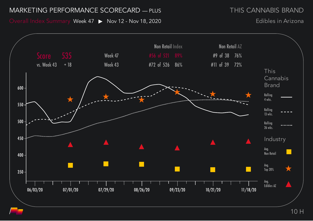Overall Index Summary Week 47 > Nov 12 - Nov 18, 2020

THIS CANNABIS BRAND

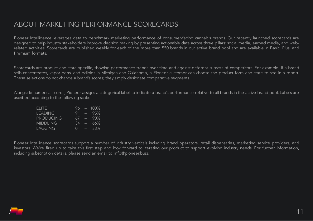# ABOUT MARKETING PERFORMANCE SCORECARDS

Pioneer Intelligence leverages data to benchmark marketing performance of consumer-facing cannabis brands. Our recently launched scorecards are designed to help industry stakeholders improve decision making by presenting actionable data across three pillars: social media, earned media, and webrelated activities. Scorecards are published weekly for each of the more than 550 brands in our active brand pool and are available in Basic, Plus, and Premium formats.

Scorecards are product and state-specific, showing performance trends over time and against different subsets of competitors. For example, if a brand sells concentrates, vapor pens, and edibles in Michigan and Oklahoma, a Pioneer customer can choose the product form and state to see in a report. These selections do not change a brand's scores; they simply designate comparative segments.

Alongside numerical scores, Pioneer assigns a categorical label to indicate a brand's performance relative to all brands in the active brand pool. Labels are ascribed according to the following scale:

| FLITE.           | 96.              |                 | $-100\%$ |
|------------------|------------------|-----------------|----------|
| <b>LEADING</b>   | 91               |                 | $-95%$   |
| <b>PRODUCING</b> | 67               | <b>Contract</b> | -90%     |
| <b>MIDDLING</b>  | 34               | Æ               | 66%      |
| LAGGING          | $\left( \right)$ | e               | 33%      |

Pioneer Intelligence scorecards support a number of industry verticals including brand operators, retail dispensaries, marketing service providers, and investors. We're fired up to take this first step and look forward to iterating our product to support evolving industry needs. For further information, including subscription details, please send an email to: [info@pioneer.buzz](mailto:info@pioneer.buzz)

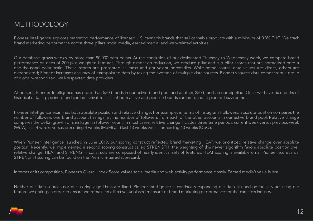Pioneer Intelligence explores marketing performance of licensed U.S. cannabis brands that sell cannabis products with a minimum of 0.3% THC. We track brand marketing performance across three pillars: social media, earned media, and web-related activities.

Our database grows weekly by more than 90,000 data points. At the conclusion of our designated Thursday to Wednesday week, we compare brand performance on each of 200 plus weighted features. Through dimension reduction, we produce pillar and sub pillar scores that are normalized onto a one-thousand point scale. These scores are presented as ranks and equivalent percentiles. While some source data values are direct, others are extrapolated; Pioneer increases accuracy of extrapolated data by taking the average of multiple data sources. Pioneer's source data comes from a group of globally-recognized, well-respected data providers.

At present, Pioneer Intelligence has more than 550 brands in our active brand pool and another 250 brands in our pipeline. Once we have six months of historical data, a pipeline brand can be activated. Lists of both active and pipeline brands can be found at pioneer.buzz/brands.

Pioneer Intelligence examines both absolute position and relative change. For example, in terms of Instagram Followers, absolute position compares the number of followers one brand account has against the number of followers from each of the other accounts in our active brand pool. Relative change compares the delta (growth or shrinkage) in follower count. In most cases, relative change includes three time periods: current week versus previous week (WoW), last 4 weeks versus preceding 4 weeks (MoM) and last 13 weeks versus preceding 13 weeks (QoQ).

When Pioneer Intelligence launched in June 2019, our scoring construct reflected brand marketing HEAT; we prioritized relative change over absolute position. Recently, we implemented a second scoring construct called STRENGTH; the weighting of this newer algorithm favors absolute position over relative change. HEAT and STRENGTH constructs are composed of nearly identical sets of features. HEAT scoring is available on all Pioneer scorecards. STRENGTH scoring can be found on the Premium-tiered scorecard.

In terms of its composition, Pioneer's Overall Index Score values social media and web activity performance closely. Earned media's value is less.

Neither our data sources nor our scoring algorithms are fixed. Pioneer Intelligence is continually expanding our data set and periodically adjusting our feature weightings in order to ensure we remain an effective, unbiased measure of brand marketing performance for the cannabis industry.

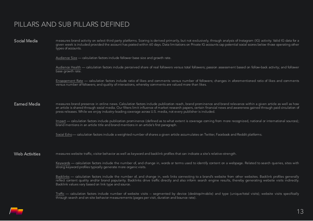# PILLARS AND SUB PILLARS DEFINED

Social Media measures brand activity on select third party platforms. Scoring is derived primarily, but not exclusively, through analysis of Instagram (IG) activity. Valid IG data for a given week is included provided the account has posted within 60 days. Data limitations on Private IG accounts cap potential social scores below those operating other types of accounts.

Audience Size — calculation factors include follower base size and growth rate.

Audience Health — calculation factors include perceived share of real followers versus total followers; passion assessment based on follow-back activity; and follower base growth rate.

Engagement Rate — calculation factors include ratio of likes and comments versus number of followers; changes in aforementioned ratio of likes and comments versus number of followers; and quality of interactions, whereby comments are valued more than likes.

**Earned Media** measures brand presence in online news. Calculation factors include publication reach, brand prominence and brand relevance within a given article as well as how an article is shared through social media. Our filters limit influence of market research papers, certain financial news and awareness gained through paid circulation of press releases. While we enjoy industry-leading coverage across U.S. media, not every publisher is included.

> Impact — calculation factors include publication prominence (defined as to what extent is coverage coming from more recognized, national or international sources); brand mentions in an article title and brand mentions in an article's first paragraph.

Social Echo— calculation factors include a weighted number of shares a given article accumulates on Twitter, Facebook and Reddit platforms.

Web Activities measures website traffic, visitor behavior as well as keyword and backlink profiles that can indicate a site's relative-strength.

Keywords — calculation factors include the number of, and change in, words or terms used to identify content on a webpage. Related to search queries, sites with strong keyword profiles typically generate more organic visits.

Backlinks — calculation factors include the number of, and change in, web links connecting to a brand's website from other websites. Backlink profiles generally reflect content quality and/or brand popularity. Backlinks drive traffic directly and also inform search engine results, thereby generating website visits indirectly. Backlink values vary based on link type and source.

Traffic — calculation factors include number of website visits -- segmented by device (desktop/mobile) and type (unique/total visits); website visits specifically through search and on-site behavior measurements (pages per visit, duration and bounce rate).